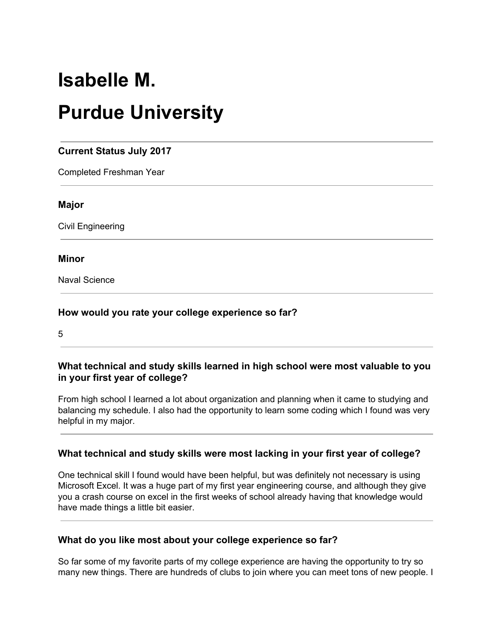# **Isabelle M.**

# **Purdue University**

# **Current Status July 2017**

Completed Freshman Year

#### **Major**

Civil Engineering

#### **Minor**

Naval Science

#### **How would you rate your college experience so far?**

5

#### **What technical and study skills learned in high school were most valuable to you in your first year of college?**

From high school I learned a lot about organization and planning when it came to studying and balancing my schedule. I also had the opportunity to learn some coding which I found was very helpful in my major.

#### **What technical and study skills were most lacking in your first year of college?**

One technical skill I found would have been helpful, but was definitely not necessary is using Microsoft Excel. It was a huge part of my first year engineering course, and although they give you a crash course on excel in the first weeks of school already having that knowledge would have made things a little bit easier.

#### **What do you like most about your college experience so far?**

So far some of my favorite parts of my college experience are having the opportunity to try so many new things. There are hundreds of clubs to join where you can meet tons of new people. I